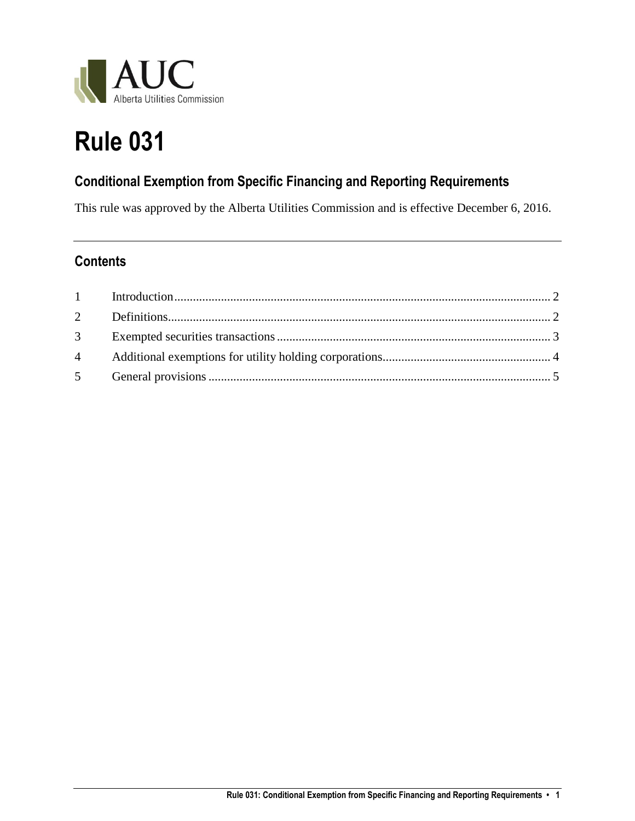

# **Rule 031**

## **Conditional Exemption from Specific Financing and Reporting Requirements**

This rule was approved by the Alberta Utilities Commission and is effective December 6, 2016.

### **Contents**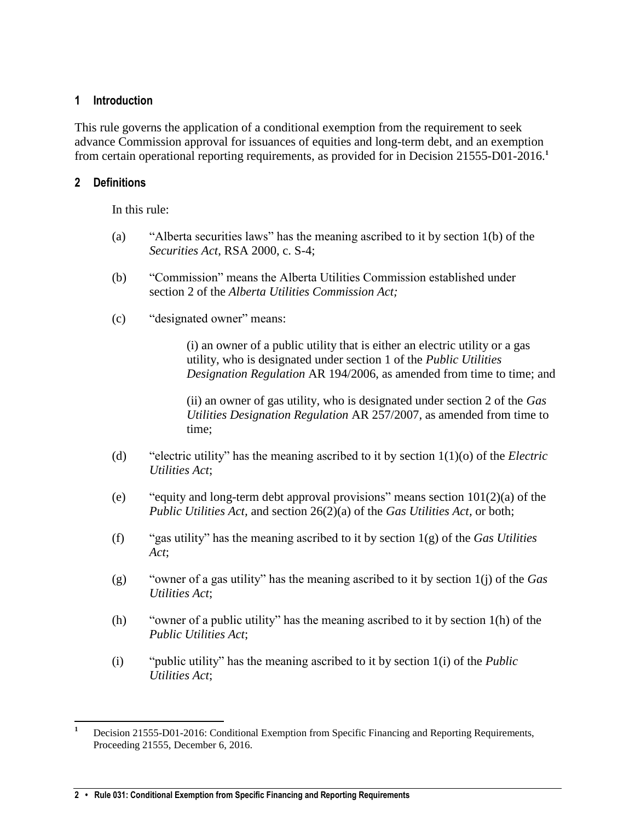#### <span id="page-1-0"></span>**1 Introduction**

This rule governs the application of a conditional exemption from the requirement to seek advance Commission approval for issuances of equities and long-term debt, and an exemption from certain operational reporting requirements, as provided for in Decision 21555-D01-2016.**<sup>1</sup>**

#### <span id="page-1-1"></span>**2 Definitions**

In this rule:

- (a) "Alberta securities laws" has the meaning ascribed to it by section 1(b) of the *Securities Act*, RSA 2000, c. S-4;
- (b) "Commission" means the Alberta Utilities Commission established under section 2 of the *Alberta Utilities Commission Act;*
- (c) "designated owner" means:

(i) an owner of a public utility that is either an electric utility or a gas utility, who is designated under section 1 of the *Public Utilities Designation Regulation* AR 194/2006, as amended from time to time; and

(ii) an owner of gas utility, who is designated under section 2 of the *Gas Utilities Designation Regulation* AR 257/2007, as amended from time to time;

- (d) "electric utility" has the meaning ascribed to it by section 1(1)(o) of the *Electric Utilities Act*;
- (e) "equity and long-term debt approval provisions" means section  $101(2)(a)$  of the *Public Utilities Act,* and section 26(2)(a) of the *Gas Utilities Act,* or both;
- (f) "gas utility" has the meaning ascribed to it by section 1(g) of the *Gas Utilities Act*;
- (g) "owner of a gas utility" has the meaning ascribed to it by section 1(j) of the *Gas Utilities Act*;
- (h) "owner of a public utility" has the meaning ascribed to it by section 1(h) of the *Public Utilities Act*;
- (i) "public utility" has the meaning ascribed to it by section 1(i) of the *Public Utilities Act*;

 $\overline{\phantom{a}}$ **<sup>1</sup>** Decision 21555-D01-2016: Conditional Exemption from Specific Financing and Reporting Requirements, Proceeding 21555, December 6, 2016.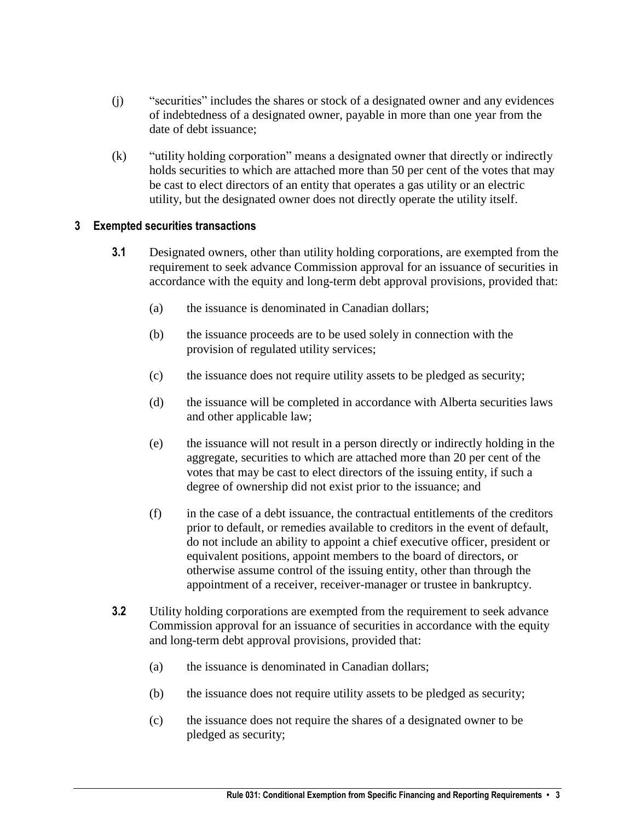- (j) "securities" includes the shares or stock of a designated owner and any evidences of indebtedness of a designated owner, payable in more than one year from the date of debt issuance;
- (k) "utility holding corporation" means a designated owner that directly or indirectly holds securities to which are attached more than 50 per cent of the votes that may be cast to elect directors of an entity that operates a gas utility or an electric utility, but the designated owner does not directly operate the utility itself.

#### <span id="page-2-0"></span>**3 Exempted securities transactions**

- **3.1** Designated owners, other than utility holding corporations, are exempted from the requirement to seek advance Commission approval for an issuance of securities in accordance with the equity and long-term debt approval provisions, provided that:
	- (a) the issuance is denominated in Canadian dollars;
	- (b) the issuance proceeds are to be used solely in connection with the provision of regulated utility services;
	- (c) the issuance does not require utility assets to be pledged as security;
	- (d) the issuance will be completed in accordance with Alberta securities laws and other applicable law;
	- (e) the issuance will not result in a person directly or indirectly holding in the aggregate, securities to which are attached more than 20 per cent of the votes that may be cast to elect directors of the issuing entity, if such a degree of ownership did not exist prior to the issuance; and
	- (f) in the case of a debt issuance, the contractual entitlements of the creditors prior to default, or remedies available to creditors in the event of default, do not include an ability to appoint a chief executive officer, president or equivalent positions, appoint members to the board of directors, or otherwise assume control of the issuing entity, other than through the appointment of a receiver, receiver-manager or trustee in bankruptcy.
- **3.2** Utility holding corporations are exempted from the requirement to seek advance Commission approval for an issuance of securities in accordance with the equity and long-term debt approval provisions, provided that:
	- (a) the issuance is denominated in Canadian dollars;
	- (b) the issuance does not require utility assets to be pledged as security;
	- (c) the issuance does not require the shares of a designated owner to be pledged as security;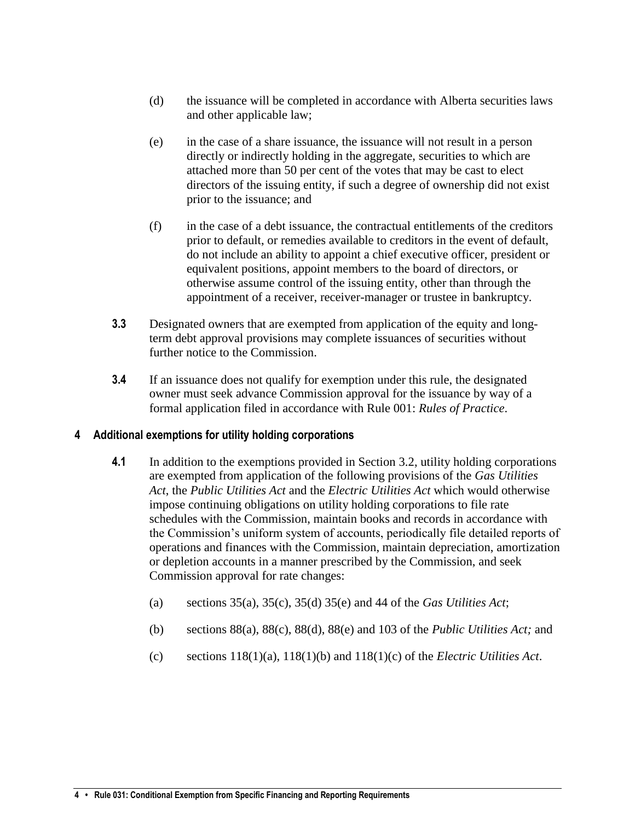- (d) the issuance will be completed in accordance with Alberta securities laws and other applicable law;
- (e) in the case of a share issuance, the issuance will not result in a person directly or indirectly holding in the aggregate, securities to which are attached more than 50 per cent of the votes that may be cast to elect directors of the issuing entity, if such a degree of ownership did not exist prior to the issuance; and
- (f) in the case of a debt issuance, the contractual entitlements of the creditors prior to default, or remedies available to creditors in the event of default, do not include an ability to appoint a chief executive officer, president or equivalent positions, appoint members to the board of directors, or otherwise assume control of the issuing entity, other than through the appointment of a receiver, receiver-manager or trustee in bankruptcy.
- **3.3** Designated owners that are exempted from application of the equity and longterm debt approval provisions may complete issuances of securities without further notice to the Commission.
- **3.4** If an issuance does not qualify for exemption under this rule, the designated owner must seek advance Commission approval for the issuance by way of a formal application filed in accordance with Rule 001: *Rules of Practice*.

#### <span id="page-3-0"></span>**4 Additional exemptions for utility holding corporations**

- **4.1** In addition to the exemptions provided in Section 3.2, utility holding corporations are exempted from application of the following provisions of the *Gas Utilities Act*, the *Public Utilities Act* and the *Electric Utilities Act* which would otherwise impose continuing obligations on utility holding corporations to file rate schedules with the Commission, maintain books and records in accordance with the Commission's uniform system of accounts, periodically file detailed reports of operations and finances with the Commission, maintain depreciation, amortization or depletion accounts in a manner prescribed by the Commission, and seek Commission approval for rate changes:
	- (a) sections 35(a), 35(c), 35(d) 35(e) and 44 of the *Gas Utilities Act*;
	- (b) sections 88(a), 88(c), 88(d), 88(e) and 103 of the *Public Utilities Act;* and
	- (c) sections 118(1)(a), 118(1)(b) and 118(1)(c) of the *Electric Utilities Act*.